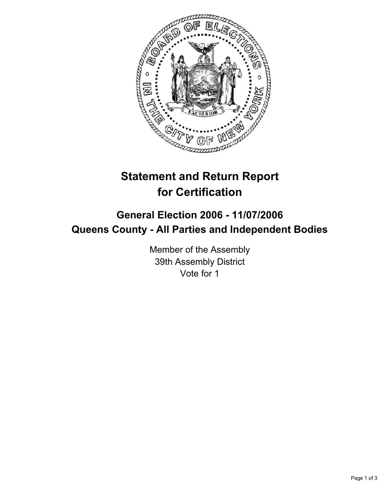

# **Statement and Return Report for Certification**

## **General Election 2006 - 11/07/2006 Queens County - All Parties and Independent Bodies**

Member of the Assembly 39th Assembly District Vote for 1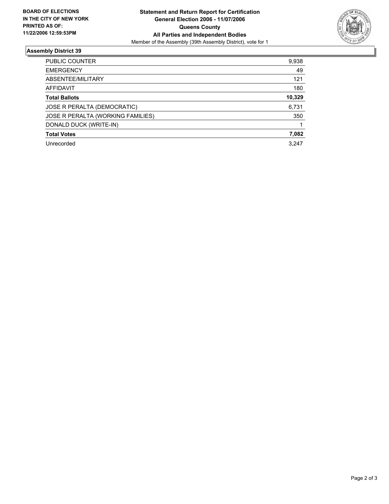

### **Assembly District 39**

| PUBLIC COUNTER<br>9,938                  |
|------------------------------------------|
| 49<br><b>EMERGENCY</b>                   |
| ABSENTEE/MILITARY<br>121                 |
| 180<br>AFFIDAVIT                         |
| 10,329<br><b>Total Ballots</b>           |
| 6,731<br>JOSE R PERALTA (DEMOCRATIC)     |
| JOSE R PERALTA (WORKING FAMILIES)<br>350 |
| DONALD DUCK (WRITE-IN)                   |
| 7,082<br><b>Total Votes</b>              |
| 3.247<br>Unrecorded                      |